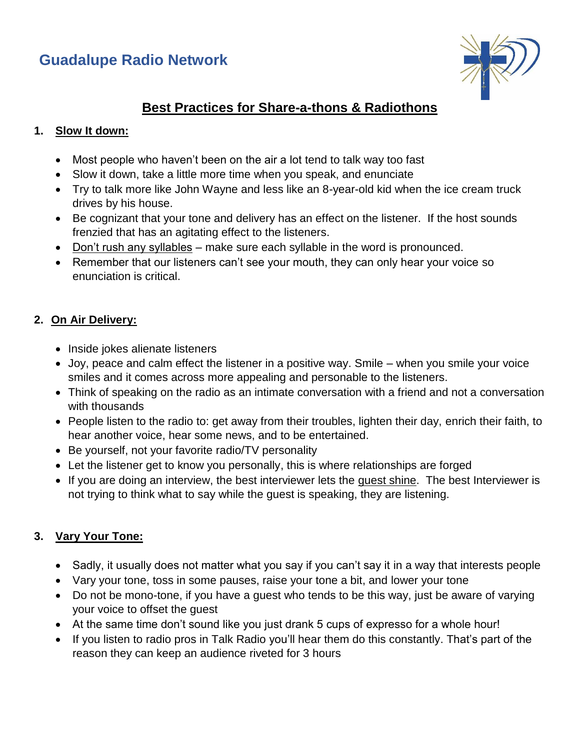



# **Best Practices for Share-a-thons & Radiothons**

#### **1. Slow It down:**

- Most people who haven't been on the air a lot tend to talk way too fast
- Slow it down, take a little more time when you speak, and enunciate
- Try to talk more like John Wayne and less like an 8-year-old kid when the ice cream truck drives by his house.
- Be cognizant that your tone and delivery has an effect on the listener. If the host sounds frenzied that has an agitating effect to the listeners.
- Don't rush any syllables make sure each syllable in the word is pronounced.
- Remember that our listeners can't see your mouth, they can only hear your voice so enunciation is critical.

# **2. On Air Delivery:**

- Inside jokes alienate listeners
- Joy, peace and calm effect the listener in a positive way. Smile when you smile your voice smiles and it comes across more appealing and personable to the listeners.
- Think of speaking on the radio as an intimate conversation with a friend and not a conversation with thousands
- People listen to the radio to: get away from their troubles, lighten their day, enrich their faith, to hear another voice, hear some news, and to be entertained.
- Be yourself, not your favorite radio/TV personality
- Let the listener get to know you personally, this is where relationships are forged
- If you are doing an interview, the best interviewer lets the guest shine. The best Interviewer is not trying to think what to say while the guest is speaking, they are listening.

# **3. Vary Your Tone:**

- Sadly, it usually does not matter what you say if you can't say it in a way that interests people
- Vary your tone, toss in some pauses, raise your tone a bit, and lower your tone
- Do not be mono-tone, if you have a guest who tends to be this way, just be aware of varying your voice to offset the guest
- At the same time don't sound like you just drank 5 cups of expresso for a whole hour!
- If you listen to radio pros in Talk Radio you'll hear them do this constantly. That's part of the reason they can keep an audience riveted for 3 hours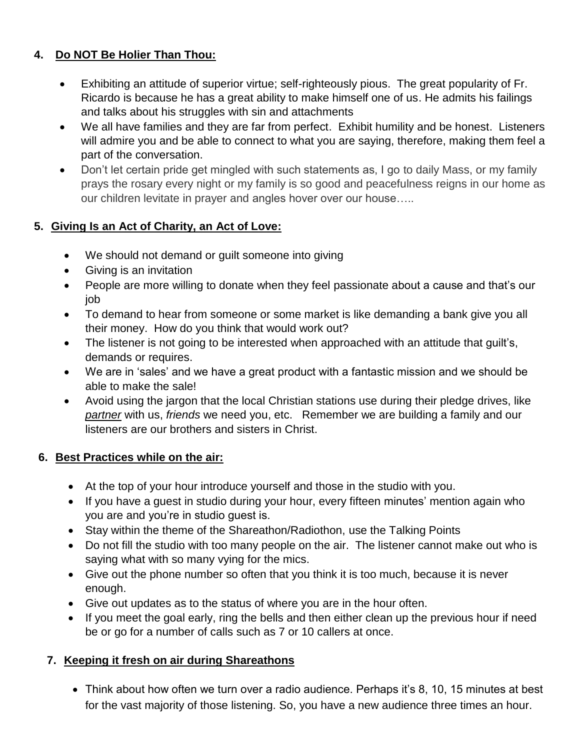# **4. Do NOT Be Holier Than Thou:**

- Exhibiting an attitude of superior virtue; self-righteously pious. The great popularity of Fr. Ricardo is because he has a great ability to make himself one of us. He admits his failings and talks about his struggles with sin and attachments
- We all have families and they are far from perfect. Exhibit humility and be honest. Listeners will admire you and be able to connect to what you are saying, therefore, making them feel a part of the conversation.
- Don't let certain pride get mingled with such statements as, I go to daily Mass, or my family prays the rosary every night or my family is so good and peacefulness reigns in our home as our children levitate in prayer and angles hover over our house…..

# **5. Giving Is an Act of Charity, an Act of Love:**

- We should not demand or guilt someone into giving
- Giving is an invitation
- People are more willing to donate when they feel passionate about a cause and that's our job
- To demand to hear from someone or some market is like demanding a bank give you all their money. How do you think that would work out?
- The listener is not going to be interested when approached with an attitude that guilt's, demands or requires.
- We are in 'sales' and we have a great product with a fantastic mission and we should be able to make the sale!
- Avoid using the jargon that the local Christian stations use during their pledge drives, like *partner* with us, *friends* we need you, etc. Remember we are building a family and our listeners are our brothers and sisters in Christ.

#### **6. Best Practices while on the air:**

- At the top of your hour introduce yourself and those in the studio with you.
- If you have a quest in studio during your hour, every fifteen minutes' mention again who you are and you're in studio guest is.
- Stay within the theme of the Shareathon/Radiothon, use the Talking Points
- Do not fill the studio with too many people on the air. The listener cannot make out who is saying what with so many vying for the mics.
- Give out the phone number so often that you think it is too much, because it is never enough.
- Give out updates as to the status of where you are in the hour often.
- If you meet the goal early, ring the bells and then either clean up the previous hour if need be or go for a number of calls such as 7 or 10 callers at once.

# **7. Keeping it fresh on air during Shareathons**

• Think about how often we turn over a radio audience. Perhaps it's 8, 10, 15 minutes at best for the vast majority of those listening. So, you have a new audience three times an hour.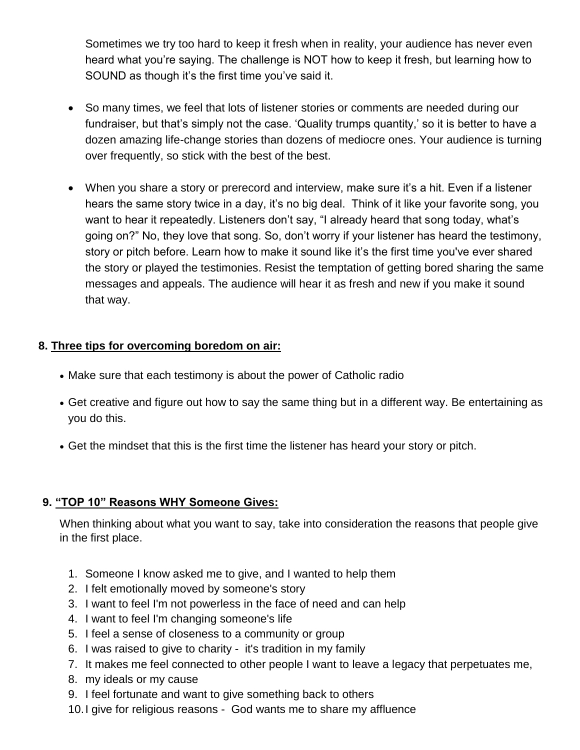Sometimes we try too hard to keep it fresh when in reality, your audience has never even heard what you're saying. The challenge is NOT how to keep it fresh, but learning how to SOUND as though it's the first time you've said it.

- So many times, we feel that lots of listener stories or comments are needed during our fundraiser, but that's simply not the case. 'Quality trumps quantity,' so it is better to have a dozen amazing life-change stories than dozens of mediocre ones. Your audience is turning over frequently, so stick with the best of the best.
- When you share a story or prerecord and interview, make sure it's a hit. Even if a listener hears the same story twice in a day, it's no big deal. Think of it like your favorite song, you want to hear it repeatedly. Listeners don't say, "I already heard that song today, what's going on?" No, they love that song. So, don't worry if your listener has heard the testimony, story or pitch before. Learn how to make it sound like it's the first time you've ever shared the story or played the testimonies. Resist the temptation of getting bored sharing the same messages and appeals. The audience will hear it as fresh and new if you make it sound that way.

#### **8. Three tips for overcoming boredom on air:**

- Make sure that each testimony is about the power of Catholic radio
- Get creative and figure out how to say the same thing but in a different way. Be entertaining as you do this.
- Get the mindset that this is the first time the listener has heard your story or pitch.

#### **9. "TOP 10" Reasons WHY Someone Gives:**

When thinking about what you want to say, take into consideration the reasons that people give in the first place.

- 1. Someone I know asked me to give, and I wanted to help them
- 2. I felt emotionally moved by someone's story
- 3. I want to feel I'm not powerless in the face of need and can help
- 4. I want to feel I'm changing someone's life
- 5. I feel a sense of closeness to a community or group
- 6. I was raised to give to charity it's tradition in my family
- 7. It makes me feel connected to other people I want to leave a legacy that perpetuates me,
- 8. my ideals or my cause
- 9. I feel fortunate and want to give something back to others
- 10.I give for religious reasons God wants me to share my affluence